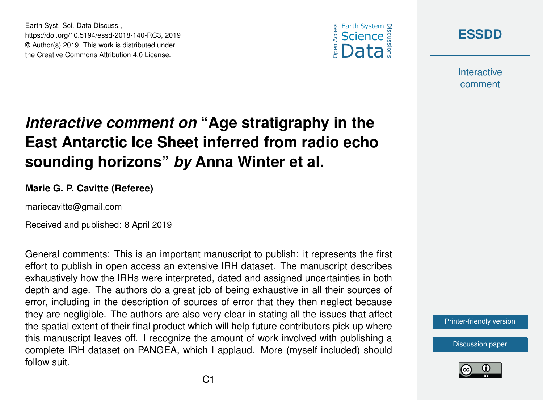



**Interactive** comment

## *Interactive comment on* **"Age stratigraphy in the East Antarctic Ice Sheet inferred from radio echo sounding horizons"** *by* **Anna Winter et al.**

## **Marie G. P. Cavitte (Referee)**

mariecavitte@gmail.com

Earth Syst. Sci. Data Discuss.,

https://doi.org/10.5194/essd-2018-140-RC3, 2019 © Author(s) 2019. This work is distributed under the Creative Commons Attribution 4.0 License.

Received and published: 8 April 2019

General comments: This is an important manuscript to publish: it represents the first effort to publish in open access an extensive IRH dataset. The manuscript describes exhaustively how the IRHs were interpreted, dated and assigned uncertainties in both depth and age. The authors do a great job of being exhaustive in all their sources of error, including in the description of sources of error that they then neglect because they are negligible. The authors are also very clear in stating all the issues that affect the spatial extent of their final product which will help future contributors pick up where this manuscript leaves off. I recognize the amount of work involved with publishing a complete IRH dataset on PANGEA, which I applaud. More (myself included) should follow suit.

[Printer-friendly version](https://www.earth-syst-sci-data-discuss.net/essd-2018-140/essd-2018-140-RC3-print.pdf)

[Discussion paper](https://www.earth-syst-sci-data-discuss.net/essd-2018-140)